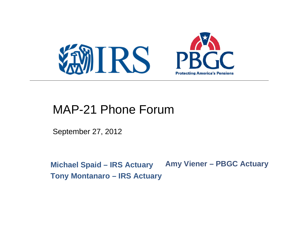

#### MAP-21 Phone Forum

September 27, 2012

**Michael Spaid – IRS Actuary Amy Viener – PBGC Actuary Tony Montanaro – IRS Actuary**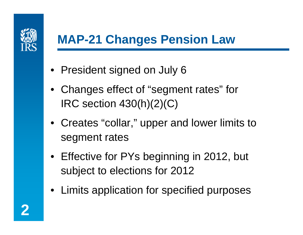

# **MAP-21 Changes Pension Law**

- President signed on July 6
- Changes effect of "segment rates" for IRC section 430(h)(2)(C)
- Creates "collar," upper and lower limits to segment rates
- Effective for PYs beginning in 2012, but subject to elections for 2012
- Limits application for specified purposes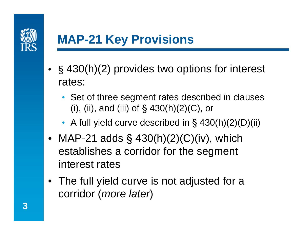

# **MAP-21 Key Provisions**

- § 430(h)(2) provides two options for interest rates:
	- Set of three segment rates described in clauses (i), (ii), and (iii) of  $\S$  430(h)(2)(C), or
	- A full yield curve described in § 430(h)(2)(D)(ii)
- MAP-21 adds  $\S$  430(h)(2)(C)(iv), which establishes a corridor for the segment interest rates
- The full yield curve is not adjusted for a corridor (*more later*)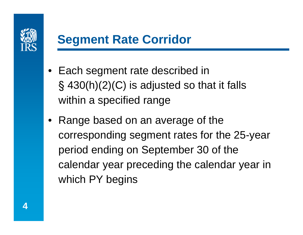

## **Segment Rate Corridor**

- Each segment rate described in § 430(h)(2)(C) is adjusted so that it falls within a specified range
- Range based on an average of the corresponding segment rates for the 25-year period ending on September 30 of the calendar year preceding the calendar year in which PY begins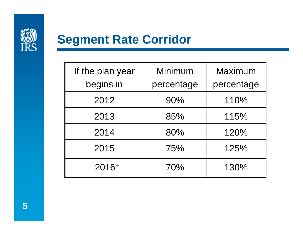

### **Segment Rate Corridor**

| If the plan year | Minimum    | Maximum    |
|------------------|------------|------------|
| begins in        | percentage | percentage |
| 2012             | 90%        | 110%       |
| 2013             | 85%        | 115%       |
| 2014             | 80%        | 120%       |
| 2015             | 75%        | 125%       |
| 2016+            | 70%        | 130%       |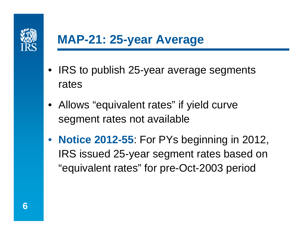

## **MAP-21: 25-year Average**

- IRS to publish 25-year average segments rates
- Allows "equivalent rates" if yield curve segment rates not available
- **Notice 2012-55**: For PYs beginning in 2012, IRS issued 25-year segment rates based on "equivalent rates" for pre-Oct-2003 period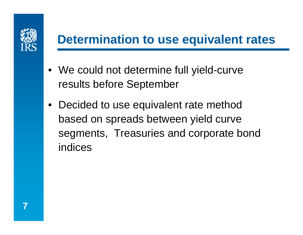

## **Determination to use equivalent rates**

- We could not determine full yield-curve results before September
- Decided to use equivalent rate method based on spreads between yield curve segments, Treasuries and corporate bond indices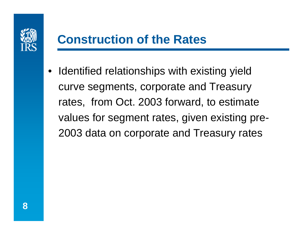

• Identified relationships with existing yield curve segments, corporate and Treasury rates, from Oct. 2003 forward, to estimate values for segment rates, given existing pre-2003 data on corporate and Treasury rates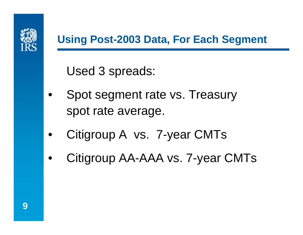

#### **Using Post-2003 Data, For Each Segment**

Used 3 spreads:

- Spot segment rate vs. Treasury spot rate average.
- Citigroup A vs. 7-year CMTs
- Citigroup AA-AAA vs. 7-year CMTs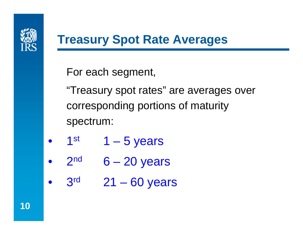

## **Treasury Spot Rate Averages**

For each segment,

"Treasury spot rates" are averages over corresponding portions of maturity spectrum:

- $1<sup>st</sup>$  1 5 years
- $2<sup>nd</sup>$  6 20 years
- $3<sup>rd</sup>$  21 60 years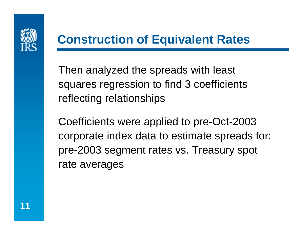

## **Construction of Equivalent Rates**

Then analyzed the spreads with least squares regression to find 3 coefficients reflecting relationships

Coefficients were applied to pre-Oct-2003 corporate index data to estimate spreads for: pre-2003 segment rates vs. Treasury spot rate averages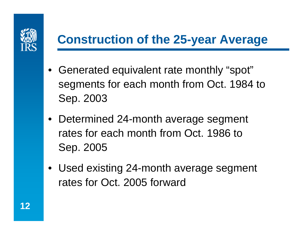

# **Construction of the 25-year Average**

- Generated equivalent rate monthly "spot" segments for each month from Oct. 1984 to Sep. 2003
- Determined 24-month average segment rates for each month from Oct. 1986 to Sep. 2005
- Used existing 24-month average segment rates for Oct. 2005 forward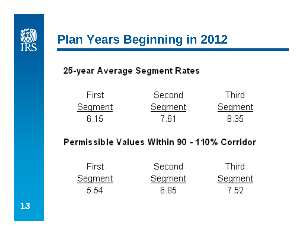

# **Plan Years Beginning in 2012**

25-year Average Segment Rates

| -First - | Second  | -Third. |
|----------|---------|---------|
| Segment  | Segment | Segment |
| 6 15     | -7 61   | -8 35.  |

**Permissible Values Within 90 - 110% Corridor** 

| -First - | :Second | -Third. |
|----------|---------|---------|
| Segment  | Segment | Segment |
| .5.54    | 6 85    | -7.52.  |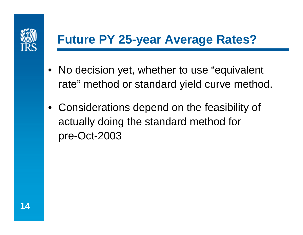

# **Future PY 25-year Average Rates?**

- No decision yet, whether to use "equivalent" rate" method or standard yield curve method.
- Considerations depend on the feasibility of actually doing the standard method for pre-Oct-2003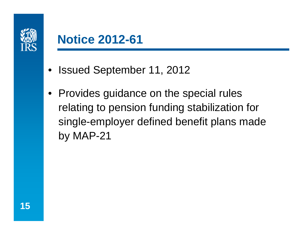

#### **Notice 2012-61**

- Issued September 11, 2012
- Provides guidance on the special rules relating to pension funding stabilization for single-employer defined benefit plans made by MAP-21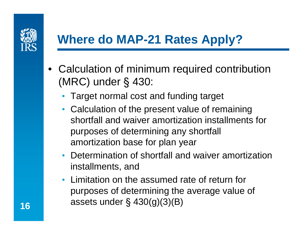

## **Where do MAP-21 Rates Apply?**

- Calculation of minimum required contribution (MRC) under § 430:
	- Target normal cost and funding target
	- Calculation of the present value of remaining shortfall and waiver amortization installments for purposes of determining any shortfall amortization base for plan year
	- Determination of shortfall and waiver amortization installments, and
	- Limitation on the assumed rate of return for purposes of determining the average value of assets under § 430(g)(3)(B)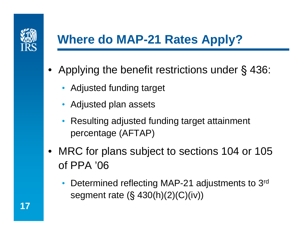

# **Where do MAP-21 Rates Apply?**

- Applying the benefit restrictions under § 436:
	- Adjusted funding target
	- Adjusted plan assets
	- Resulting adjusted funding target attainment percentage (AFTAP)
- MRC for plans subject to sections 104 or 105 of PPA '06
	- Determined reflecting MAP-21 adjustments to 3rd segment rate (§ 430(h)(2)(C)(iv))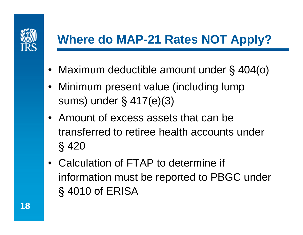

# **Where do MAP-21 Rates NOT Apply?**

- Maximum deductible amount under § 404(o)
- Minimum present value (including lump sums) under § 417(e)(3)
- Amount of excess assets that can be transferred to retiree health accounts under § 420
- Calculation of FTAP to determine if information must be reported to PBGC under § 4010 of ERISA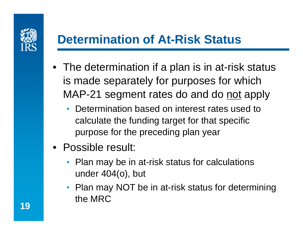

# **Determination of At-Risk Status**

- The determination if a plan is in at-risk status is made separately for purposes for which MAP-21 segment rates do and do not apply
	- Determination based on interest rates used to calculate the funding target for that specific purpose for the preceding plan year
- Possible result:
	- Plan may be in at-risk status for calculations under 404(o), but
	- Plan may NOT be in at-risk status for determining the MRC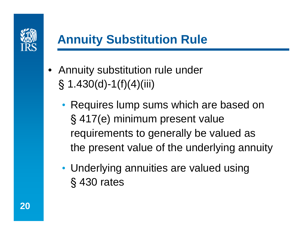

# **Annuity Substitution Rule**

- Annuity substitution rule under  $\S$  1.430(d)-1(f)(4)(iii)
	- Requires lump sums which are based on § 417(e) minimum present value requirements to generally be valued as the present value of the underlying annuity
	- Underlying annuities are valued using § 430 rates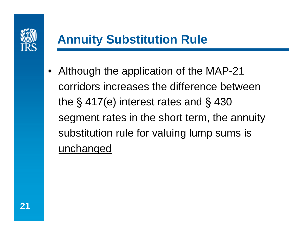

# **Annuity Substitution Rule**

• Although the application of the MAP-21 corridors increases the difference between the § 417(e) interest rates and § 430 segment rates in the short term, the annuity substitution rule for valuing lump sums is unchanged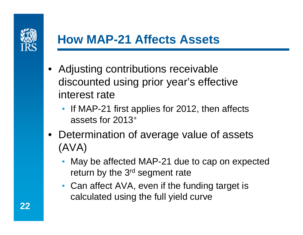

## **How MAP-21 Affects Assets**

- Adjusting contributions receivable discounted using prior year's effective interest rate
	- If MAP-21 first applies for 2012, then affects assets for 2013+
- Determination of average value of assets (AVA)
	- May be affected MAP-21 due to cap on expected return by the 3<sup>rd</sup> segment rate
	- Can affect AVA, even if the funding target is calculated using the full yield curve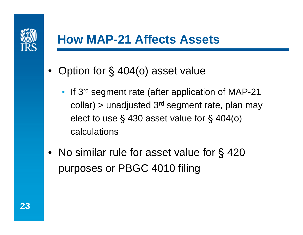

## **How MAP-21 Affects Assets**

- Option for § 404(o) asset value
	- If 3<sup>rd</sup> segment rate (after application of MAP-21 collar) > unadjusted  $3<sup>rd</sup>$  segment rate, plan may elect to use § 430 asset value for § 404(o) calculations
- No similar rule for asset value for § 420 purposes or PBGC 4010 filing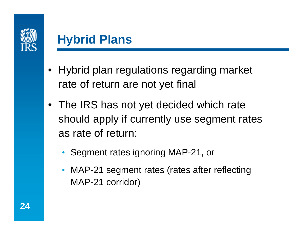

#### **Hybrid Plans**

- Hybrid plan regulations regarding market rate of return are not yet final
- The IRS has not yet decided which rate should apply if currently use segment rates as rate of return:
	- Segment rates ignoring MAP-21, or
	- MAP-21 segment rates (rates after reflecting MAP-21 corridor)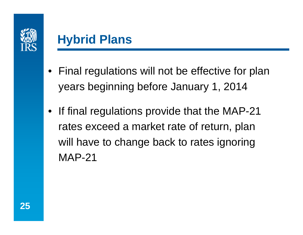

## **Hybrid Plans**

- Final regulations will not be effective for plan years beginning before January 1, 2014
- If final regulations provide that the MAP-21 rates exceed a market rate of return, plan will have to change back to rates ignoring MAP-21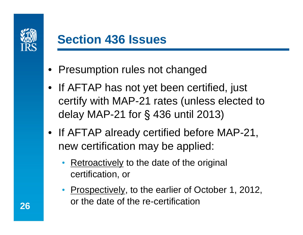

- Presumption rules not changed
- If AFTAP has not yet been certified, just certify with MAP-21 rates (unless elected to delay MAP-21 for § 436 until 2013)
- If AFTAP already certified before MAP-21, new certification may be applied:
	- Retroactively to the date of the original certification, or
	- Prospectively, to the earlier of October 1, 2012, or the date of the re-certification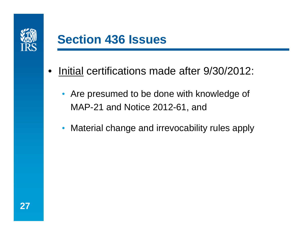

- Initial certifications made after 9/30/2012:
	- Are presumed to be done with knowledge of MAP-21 and Notice 2012-61, and
	- Material change and irrevocability rules apply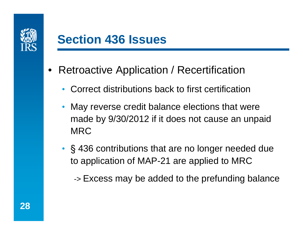

- Retroactive Application / Recertification
	- Correct distributions back to first certification
	- May reverse credit balance elections that were made by 9/30/2012 if it does not cause an unpaid **MRC**
	- § 436 contributions that are no longer needed due to application of MAP-21 are applied to MRC
		- -> Excess may be added to the prefunding balance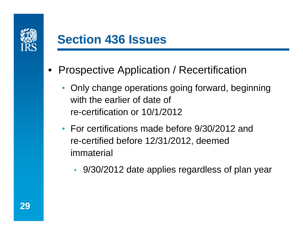

- Prospective Application / Recertification
	- Only change operations going forward, beginning with the earlier of date of re-certification or 10/1/2012
	- For certifications made before 9/30/2012 and re-certified before 12/31/2012, deemed immaterial
		- 9/30/2012 date applies regardless of plan year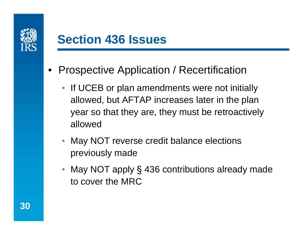

- Prospective Application / Recertification
	- If UCEB or plan amendments were not initially allowed, but AFTAP increases later in the plan year so that they are, they must be retroactively allowed
	- May NOT reverse credit balance elections previously made
	- May NOT apply § 436 contributions already made to cover the MRC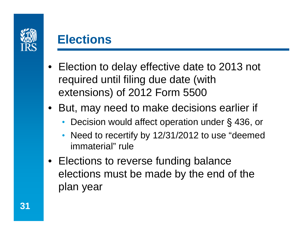

#### **Elections**

- Election to delay effective date to 2013 not required until filing due date (with extensions) of 2012 Form 5500
- But, may need to make decisions earlier if
	- Decision would affect operation under § 436, or
	- Need to recertify by 12/31/2012 to use "deemed immaterial" rule
- Elections to reverse funding balance elections must be made by the end of the plan year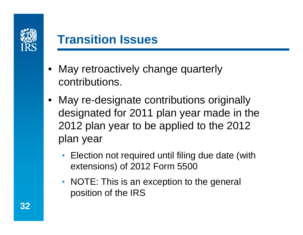

## **Transition Issues**

- May retroactively change quarterly contributions.
- May re-designate contributions originally designated for 2011 plan year made in the 2012 plan year to be applied to the 2012 plan year
	- Election not required until filing due date (with extensions) of 2012 Form 5500
	- NOTE: This is an exception to the general position of the IRS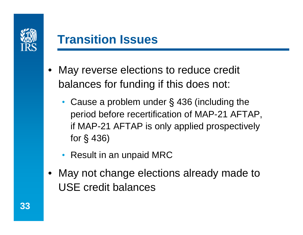

## **Transition Issues**

- May reverse elections to reduce credit balances for funding if this does not:
	- Cause a problem under § 436 (including the period before recertification of MAP-21 AFTAP, if MAP-21 AFTAP is only applied prospectively for § 436)
	- Result in an unpaid MRC
- May not change elections already made to USE credit balances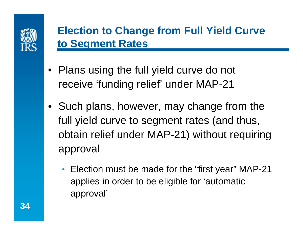

#### **Election to Change from Full Yield Curve to Segment Rates**

- Plans using the full yield curve do not receive 'funding relief' under MAP-21
- Such plans, however, may change from the full yield curve to segment rates (and thus, obtain relief under MAP-21) without requiring approval
	- Election must be made for the "first year" MAP-21 applies in order to be eligible for 'automatic approval'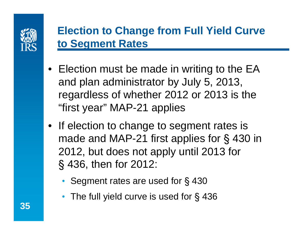

#### **Election to Change from Full Yield Curve to Segment Rates**

- Election must be made in writing to the EA and plan administrator by July 5, 2013, regardless of whether 2012 or 2013 is the "first year" MAP-21 applies
- If election to change to segment rates is made and MAP-21 first applies for § 430 in 2012, but does not apply until 2013 for § 436, then for 2012:
	- Segment rates are used for §430
	- The full yield curve is used for §436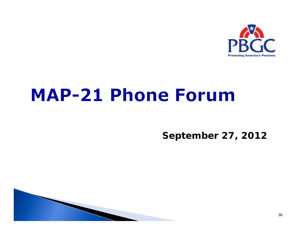

# **MAP-21 Phone Forum**

**September 27, 2012**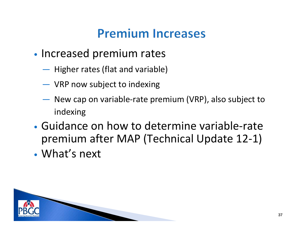## **Premium Increases**

- •• Increased premium rates
	- <u> Francisco III (m. 1</u>  $-$  Higher rates (flat and variable)
	- ―VRP now subject to indexing
	- **Northern Communication**  New cap on variable-rate premium (VRP), also subject to indexing
- Guidance on how to determine variable-rate premium after MAP (Technical Update 12-1)
- What's next

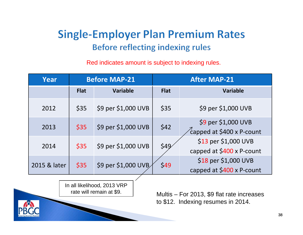#### **Single-Employer Plan Premium Rates Before reflecting indexing rules**

Red indicates amount is subject to indexing rules.

| Year         |             | <b>Before MAP-21</b> |             | <b>After MAP-21</b>                               |  |
|--------------|-------------|----------------------|-------------|---------------------------------------------------|--|
|              | <b>Flat</b> | <b>Variable</b>      | <b>Flat</b> | <b>Variable</b>                                   |  |
| 2012         | \$35        | \$9 per \$1,000 UVB  | \$35        | \$9 per \$1,000 UVB                               |  |
| 2013         | \$35        | \$9 per \$1,000 UVB  | \$42        | \$9 per \$1,000 UVB<br>capped at \$400 x P-count  |  |
| 2014         | \$35        | \$9 per \$1,000 UVB  | \$49        | \$13 per \$1,000 UVB<br>capped at \$400 x P-count |  |
| 2015 & later | \$35        | \$9 per \$1,000 UVB  | \$49        | \$18 per \$1,000 UVB<br>capped at \$400 x P-count |  |

In all likelihood, 2013 VRP rate will remain at \$9.

Multis – For 2013, \$9 flat rate increases to \$12. Indexing resumes in 2014.

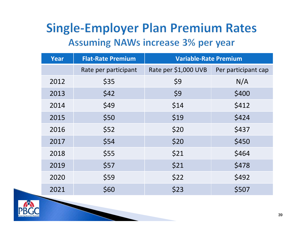#### **Single-Employer Plan Premium Rates Assuming NAWs increase 3% per year**

| <b>Year</b> | <b>Flat-Rate Premium</b> | <b>Variable-Rate Premium</b> |                     |  |
|-------------|--------------------------|------------------------------|---------------------|--|
|             | Rate per participant     | Rate per \$1,000 UVB         | Per participant cap |  |
| 2012        | \$35                     | \$9                          | N/A                 |  |
| 2013        | \$42                     | \$9                          | \$400               |  |
| 2014        | \$49                     | \$14                         | \$412               |  |
| 2015        | \$50                     | \$19                         | \$424               |  |
| 2016        | \$52                     | \$20                         | \$437               |  |
| 2017        | \$54                     | \$20                         | \$450               |  |
| 2018        | \$55                     | \$21                         | \$464               |  |
| 2019        | \$57                     | \$21                         | \$478               |  |
| 2020        | \$59                     | \$22                         | \$492               |  |
| 2021        | \$60                     | \$23                         | \$507               |  |

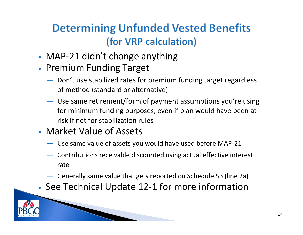#### **Determining Unfunded Vested Benefits** (for VRP calculation)

- MAP-21 didn't change anything
- Premium Funding Target
	- ― Don't use stabilized rates for premium funding target regardless of method (standard or alternative)
	- Use same retirement/form of payment assumptions you're using for minimum funding purposes, even if plan would have been atrisk if not for stabilization rules
- Market Value of Assets
	- ― Use same value of assets you would have used before MAP-21
	- Contributions receivable discounted using actual effective interest rate
	- ― Generally same value that gets reported on Schedule SB (line 2a)
- See Technical Update 12-1 for more information

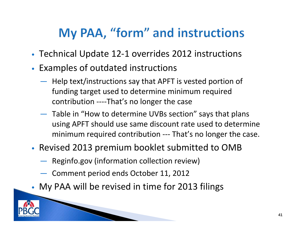## My PAA, "form" and instructions

- Technical Update 12-1 overrides 2012 instructions
- • Examples of outdated instructions
	- ― $-$  Help text/instructions say that APFT is vested portion of funding target used to determine minimum required contribution ----That's no longer the case
	- Table in "How to determine UVBs section" says that plans using APFT should use same discount rate used to determine minimum required contribution --- That's no longer the case.
- Revised 2013 premium booklet submitted to OMB
	- Reginfo.gov (information collection review)
	- Comment period ends October 11, 2012
	- My PAA will be revised in time for 2013 filings



•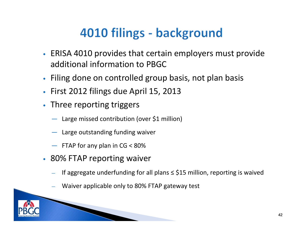# 4010 filings - background

- ERISA 4010 provides that certain employers must provide additional information to PBGC
- Filing done on controlled group basis, not plan basis
- First 2012 filings due April 15, 2013
- Three reporting triggers
	- ― Large missed contribution (over \$1 million)
	- ― Large outstanding funding waiver
	- ― FTAP for any plan in CG < 80%
- 80% FTAP reporting waiver
	- If aggregate underfunding for all plans  $\le$  \$15 million, reporting is waived
	- Waiver applicable only to 80% FTAP gateway test

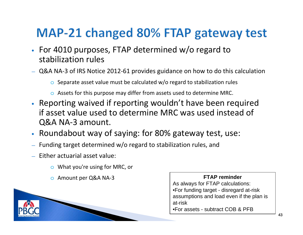## MAP-21 changed 80% FTAP gateway test

- For 4010 purposes, FTAP determined w/o regard to stabilization rules
- ― Q&A NA-3 of IRS Notice 2012-61 provides guidance on how to do this calculation
	- $\circ$  Separate asset value must be calculated w/o regard to stabilization rules
	- $\circ$  Assets for this purpose may differ from assets used to determine MRC.
- Reporting waived if reporting wouldn't have been required if asset value used to determine MRC was used instead of Q&A NA-3 amount.
- Roundabout way of saying: for 80% gateway test, use:
- ―Funding target determined w/o regard to stabilization rules, and
- ― Either actuarial asset value:
	- o What you're using for MRC, or
	- o Amount per Q&A NA-3

#### **FTAP reminder**

As always for FTAP calculations: •For funding target - disregard at-risk assumptions and load even if the plan is at-risk

•For assets - subtract COB & PFB

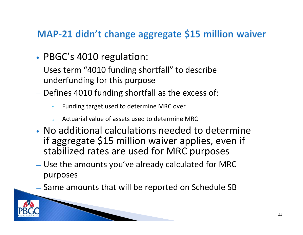#### MAP-21 didn't change aggregate \$15 million waiver

- PBGC's 4010 regulation:
- Uses term "4010 funding shortfall" to describe underfunding for this purpose
- $-$  Defines 4010 funding shortfall as the excess of:
	- oFunding target used to determine MRC over
	- oActuarial value of assets used to determine MRC
- No additional calculations needed to determine if aggregate \$15 million waiver applies, even if stabilized rates are used for MRC purposes
- Use the amounts you've already calculated for MRC purposes
- $-$  Same amounts that will be reported on Schedule SB

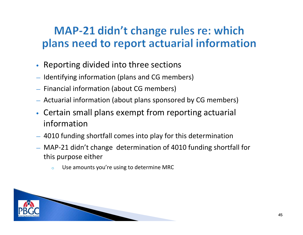#### MAP-21 didn't change rules re: which plans need to report actuarial information

- Reporting divided into three sections
- ― Identifying information (plans and CG members)
- ― Financial information (about CG members)
- ― Actuarial information (about plans sponsored by CG members)
- Certain small plans exempt from reporting actuarial information
- ― 4010 funding shortfall comes into play for this determination
- ― MAP-21 didn't change determination of 4010 funding shortfall for this purpose either
	- oUse amounts you're using to determine MRC